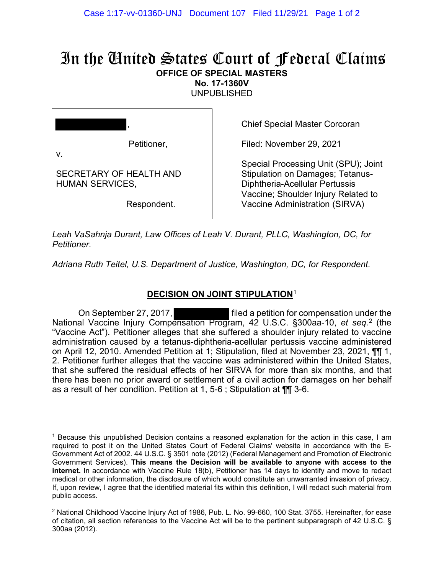## In the United States Court of Federal Claims **OFFICE OF SPECIAL MASTERS**

**No. 17-1360V** 

UNPUBLISHED

| ,                                                 |
|---------------------------------------------------|
| Petitioner,<br>v.                                 |
| SECRETARY OF HEALTH AND<br><b>HUMAN SERVICES,</b> |
| Respondent.                                       |

Chief Special Master Corcoran

Filed: November 29, 2021

Special Processing Unit (SPU); Joint Stipulation on Damages; Tetanus-Diphtheria-Acellular Pertussis Vaccine; Shoulder Injury Related to Vaccine Administration (SIRVA)

*Leah VaSahnja Durant, Law Offices of Leah V. Durant, PLLC, Washington, DC, for Petitioner.*

*Adriana Ruth Teitel, U.S. Department of Justice, Washington, DC, for Respondent.*

## **DECISION ON JOINT STIPULATION**[1](#page-0-0)

On September 27, 2017, filed a petition for compensation under the National Vaccine Injury Compensation Program, 42 U.S.C. §300aa-10, *et seq.* [2](#page-0-1) (the "Vaccine Act"). Petitioner alleges that she suffered a shoulder injury related to vaccine administration caused by a tetanus-diphtheria-acellular pertussis vaccine administered on April 12, 2010. Amended Petition at 1; Stipulation, filed at November 23, 2021, ¶¶ 1, 2. Petitioner further alleges that the vaccine was administered within the United States, that she suffered the residual effects of her SIRVA for more than six months, and that there has been no prior award or settlement of a civil action for damages on her behalf as a result of her condition. Petition at 1, 5-6 ; Stipulation at ¶¶ 3-6.

<span id="page-0-0"></span><sup>1</sup> Because this unpublished Decision contains a reasoned explanation for the action in this case, I am required to post it on the United States Court of Federal Claims' website in accordance with the E-Government Act of 2002. 44 U.S.C. § 3501 note (2012) (Federal Management and Promotion of Electronic Government Services). **This means the Decision will be available to anyone with access to the internet.** In accordance with Vaccine Rule 18(b), Petitioner has 14 days to identify and move to redact medical or other information, the disclosure of which would constitute an unwarranted invasion of privacy. If, upon review, I agree that the identified material fits within this definition, I will redact such material from public access.

<span id="page-0-1"></span> $2$  National Childhood Vaccine Injury Act of 1986, Pub. L. No. 99-660, 100 Stat. 3755. Hereinafter, for ease of citation, all section references to the Vaccine Act will be to the pertinent subparagraph of 42 U.S.C. § 300aa (2012).